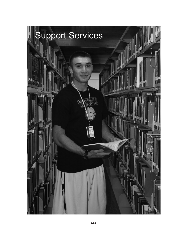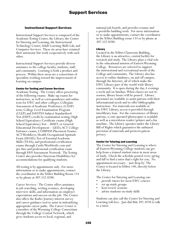# Instructional Support Services

Instructional Support Services is composed of the Academic Testing Center, the Library, the Center for Tutoring and Learning, the Instructional Technology Center, Adult Learning Skills Lab, and Computer Services. These six areas have retained their autonomy but work cooperatively with each other.

Instructional Support Services provide diverse assistance to the college faculty, students, staff, and community. Learning is both a product and process. Within these areas are a consortium of specialists working toward the improvement of learning on campus.

## Center for Testing and Career Services

Academic Testing - The Center offers proctoring of the following exams: Make-up exams for instructors, as well as correspondence and online tests for EWC and other colleges; Collegiate Assessment of Academic Proficiency (CAAP) tests; College Level Examination Program (CLEP) and DANTES Subject Standardized Test (DSST) credit by examination testing; High School Equivalency Certificate exams (High School Equivalency Test – HiSET, or General Educational Development – GED); ACT College Entrance exams; COMPASS Placement Exams; ACT WorkKeys; Health Occupational Aptitude Exam (HOAE); Test of Essential Academic Skills (TEAS); and professional certification exams through Castle Worldwide.com and pre-hire and professional certification exam through PAN Assessment Network. The Testing Center also provides American Disabilities Act accommodations for qualifying students.

All testing is by appointment only. For more information or to make appointments, contact the coordinator in the Tebbet Building Room 133 or by phone at 307.532.8288.

Career Services - The Center offers assistance in job searching, writing resumes, developing interview skills, and information on employer expectations and success on the job. The Center also offers the Kuder Journey interest survey and career guidance tool to assist in indentifying appropriate career paths. The Career Center is a member of the Wyoming College Consortium through the College Central Network, which gives students access to local, regional, and

national job boards, and provides resume and e-portfolio building tools. For more information or to make appointments, contact the coordinator in the Tebbet Building room 133 or by phone at 307.532.8288.

## Library

Located in the Tebbet Classroom Building, the Library is an attractive, central facility for research and study. The Library plays a vital role in the educational mission of Eastern Wyoming College. Resources are selected to support the instructional and recreational needs of the College and community. The Library also has access to online databases, on and off campus, through the Internet, all of which make the EWC Library part of the world-wide library community. It is open during the day, 4 evenings a week and on Sundays. When classes are not in session, library hours will be posted. Library personnel are available to assist patrons with their informational needs and to offer bibliographic instruction. For materials not available at the EWC Library, access is provided through interlibrary loan. For the convenience of library patrons, a coin operated photocopier is available as well as a microform reader/printer and a fax machine. The Library operates under the Library Bill of Rights which guarantees the unbiased provision of materials and protects patron privacy.

## Center for Tutoring and Learning

The Center for Tutoring and Learning is where all Eastern Wyoming College students can get help from a trained student-tutor in most areas of study. Check the schedule posted every spring and fall to find a tutor that's right for you. No appointment necessary – just drop by. The Center is located in Tebbet 140, directly below the Library.

The Center for Tutoring and Learning can:

- provide tutors for most EWC courses
- set up study groups
- host review sessions
- advise students on study skills

Students can also call the Center for Tutoring and Learning toll-free. Just dial 866.392.3478 to talk to a tutor.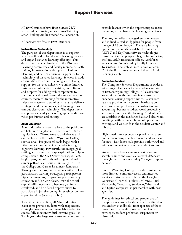All EWC students have **free access 24/7** to the online tutoring service SmarThinking. SmarThinking can be reached via LancerNet.

All services are free to EWC students.

## Instructional Technology

The purpose of this department is to support faculty as they develop distance learning courses and expand distance learning offerings. This department works closely with the Distance Learning committee and faculty members. With training in instructional design (curriculum planning) and delivery, primary support is for the technology of distance learning. Services include: consultation for course planning and delivery, support for distance delivery via online Internet systems and interactive television, consultation and support for adding web components to traditional and non-Internet distance education courses, technical training for the interactive television classroom, training in distance delivery strategies and technologies, and training to use campus classroom technology. The department also provides faculty access to graphic, audio, and video production and editing.

#### Adult Education

Adult Education classes are free to the public and are held in Torrington in Tebbet Room 140 on a regular basis. Classes are also available at each outreach site in the Eastern Wyoming College service area. Programs of study begin with a 'Start Smart' course which includes testing, cognitive learning, PowerPath screenings, goal setting, and career pathways explorations. Upon completion of the Start Smart course, students begin a program of study utilizing individual career pathways and curriculums aligned with the College and Career Readiness Standards. Throughout the program, students will employ participatory learning strategies, participate in flipped classrooms, prepare for postsecondary education and/or workforce, learn the social capital skills necessary to become gainfully employed, and be offered opportunities to participate in job shadowing, internships, and/or apprenticeships (when possible).

To facilitate instruction, all Adult Education classrooms provide students with adaptations, strategies, resources, and materials needed to successfully meet individual learning goals. In Torrington, the large study area and computer lab provide learners with the opportunity to access technology to enhance the learning experience.

The program offers managed enrolled classes and individualized study plans for people from the age of 16 and beyond. Distance learning opportunities are also available through the AZTEC and KeyTrain software technologies. Enrollment in the program begins by contacting the local Adult Education offices, Workforce Services, and/or Wyoming Family Literacy: Torrington. The web address is ewc.wy.edu. Click the link to Academics and then to Adult Learning Center.

## Computer Services

The Computer Services Department provides a wide range of services to the students and staff of Eastern Wyoming College. All classrooms are equipped with multimedia systems for enhanced learning opportunities. Classroom labs are provided with current hardware and software to support academic instruction in accounting, business studies, word processing and curriculum-specific training. Student labs are available in the residence halls and classroom buildings, with extended hours of operation evenings and weekends in the Student Center and Library.

High speed internet access is provided to users on the main campus in both wired and wireless formats. Residence halls provide both wired and wireless internet access in the student rooms.

Students have free access to a host of online search engines and over 75 research databases through the Eastern Wyoming College computer network.

Eastern Wyoming College provides similar, but more limited, computer access and internet services to students enrolled at the Douglas, Guernsey, Glenrock, Hulett, LaGrange, Lusk, Moorcroft, Newcastle, Sundance, Wheatland and Upton campuses, in partnership with host agencies.

The guidelines for ethical and proper use of computer resources by students are outlined in the Student Handbook. Improper use of these resources may result in suspension of access privileges, student probation, suspension or dismissal.